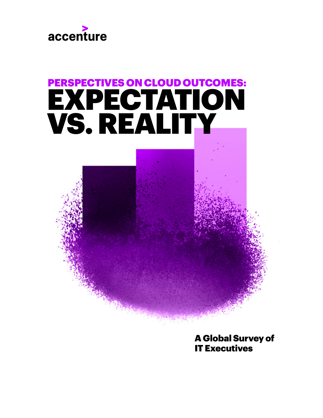

# PERSPECTIVES ON CLOUD OUTCOMES: EXPECTATION VS. REALITY

A Global Survey of IT Executives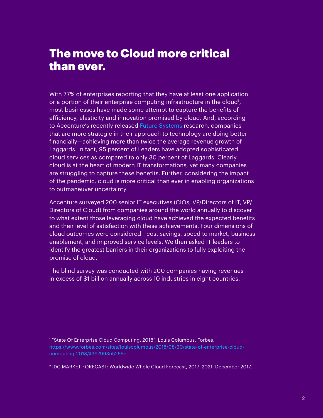#### The move to Cloud more critical than ever.

With 77% of enterprises reporting that they have at least one application or a portion of their enterprise computing infrastructure in the cloud<sup>1</sup>, most businesses have made some attempt to capture the benefits of efficiency, elasticity and innovation promised by cloud. And, according to Accenture's recently released [Future Systems](https://www.accenture.com/us-en/insights/future-systems/future-ready-enterprise-systems) research, companies that are more strategic in their approach to technology are doing better financially—achieving more than twice the average revenue growth of Laggards. In fact, 95 percent of Leaders have adopted sophisticated cloud services as compared to only 30 percent of Laggards. Clearly, cloud is at the heart of modern IT transformations, yet many companies are struggling to capture these benefits. Further, considering the impact of the pandemic, cloud is more critical than ever in enabling organizations to outmaneuver uncertainty.

Accenture surveyed 200 senior IT executives (CIOs, VP/Directors of IT, VP/ Directors of Cloud) from companies around the world annually to discover to what extent those leveraging cloud have achieved the expected benefits and their level of satisfaction with these achievements. Four dimensions of cloud outcomes were considered—cost savings, speed to market, business enablement, and improved service levels. We then asked IT leaders to identify the greatest barriers in their organizations to fully exploiting the promise of cloud.

The blind survey was conducted with 200 companies having revenues in excess of \$1 billion annually across 10 industries in eight countries.

<sup>1</sup> "State Of Enterprise Cloud Computing, 2018", Louis Columbus, Forbes. [https://www.forbes.com/sites/louiscolumbus/2018/08/30/state-of-enterprise-cloud](https://www.forbes.com/sites/louiscolumbus/2018/08/30/state-of-enterprise-cloud-computing-2018/#397993c5265e)[computing-2018/#397993c5265e](https://www.forbes.com/sites/louiscolumbus/2018/08/30/state-of-enterprise-cloud-computing-2018/#397993c5265e)

2 IDC MARKET FORECAST: Worldwide Whole Cloud Forecast, 2017–2021. December 2017.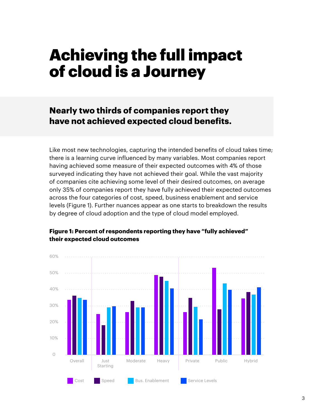## Achieving the full impact of cloud is a Journey

**Nearly two thirds of companies report they have not achieved expected cloud benefits.** 

Like most new technologies, capturing the intended benefits of cloud takes time; there is a learning curve influenced by many variables. Most companies report having achieved some measure of their expected outcomes with 4% of those surveyed indicating they have not achieved their goal. While the vast majority of companies cite achieving some level of their desired outcomes, on average only 35% of companies report they have fully achieved their expected outcomes across the four categories of cost, speed, business enablement and service levels (Figure 1). Further nuances appear as one starts to breakdown the results by degree of cloud adoption and the type of cloud model employed.



#### **Figure 1: Percent of respondents reporting they have "fully achieved"**  their expected cloud outcomes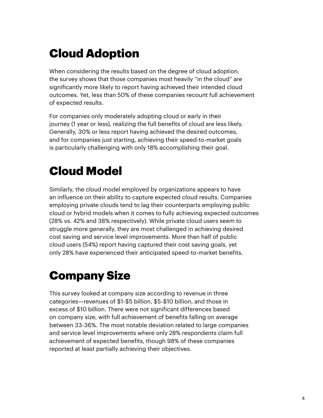### Cloud Adoption

When considering the results based on the degree of cloud adoption, the survey shows that those companies most heavily "in the cloud" are significantly more likely to report having achieved their intended cloud outcomes. Yet, less than 50% of these companies recount full achievement of expected results.

For companies only moderately adopting cloud or early in their journey (1 year or less), realizing the full benefits of cloud are less likely. Generally, 30% or less report having achieved the desired outcomes, and for companies just starting, achieving their speed-to-market goals is particularly challenging with only 18% accomplishing their goal.

### Cloud Model

Similarly, the cloud model employed by organizations appears to have an influence on their ability to capture expected cloud results. Companies employing private clouds tend to lag their counterparts employing public cloud or hybrid models when it comes to fully achieving expected outcomes (28% vs. 42% and 38% respectively). While private cloud users seem to struggle more generally, they are most challenged in achieving desired cost saving and service level improvements. More than half of public cloud users (54%) report having captured their cost saving goals, yet only 28% have experienced their anticipated speed-to-market benefits.

### Company Size

This survey looked at company size according to revenue in three categories—revenues of \$1-\$5 billion, \$5-\$10 billion, and those in excess of \$10 billion. There were not significant differences based on company size, with full achievement of benefits falling on average between 33-36%. The most notable deviation related to large companies and service level improvements where only 28% respondents claim full achievement of expected benefits, though 98% of these companies reported at least partially achieving their objectives.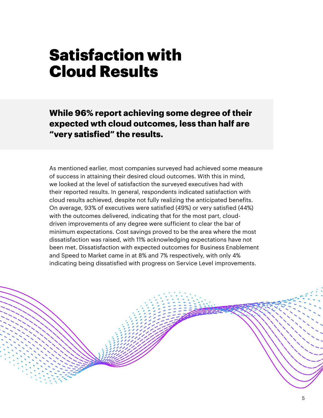## Satisfaction with Cloud Results

**While 96% report achieving some degree of their expected wth cloud outcomes, less than half are "very satisfied" the results.**

As mentioned earlier, most companies surveyed had achieved some measure of success in attaining their desired cloud outcomes. With this in mind, we looked at the level of satisfaction the surveyed executives had with their reported results. In general, respondents indicated satisfaction with cloud results achieved, despite not fully realizing the anticipated benefits. On average, 93% of executives were satisfied (49%) or very satisfied (44%) with the outcomes delivered, indicating that for the most part, clouddriven improvements of any degree were sufficient to clear the bar of minimum expectations. Cost savings proved to be the area where the most dissatisfaction was raised, with 11% acknowledging expectations have not been met. Dissatisfaction with expected outcomes for Business Enablement and Speed to Market came in at 8% and 7% respectively, with only 4% indicating being dissatisfied with progress on Service Level improvements.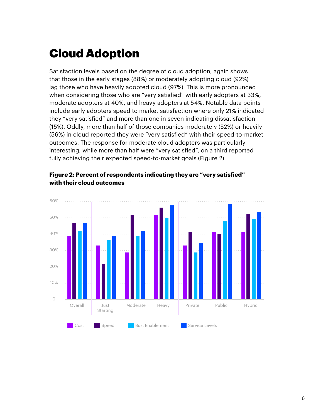### Cloud Adoption

Satisfaction levels based on the degree of cloud adoption, again shows that those in the early stages (88%) or moderately adopting cloud (92%) lag those who have heavily adopted cloud (97%). This is more pronounced when considering those who are "very satisfied" with early adopters at 33%, moderate adopters at 40%, and heavy adopters at 54%. Notable data points include early adopters speed to market satisfaction where only 21% indicated they "very satisfied" and more than one in seven indicating dissatisfaction (15%). Oddly, more than half of those companies moderately (52%) or heavily (56%) in cloud reported they were "very satisfied" with their speed-to-market outcomes. The response for moderate cloud adopters was particularly interesting, while more than half were "very satisfied", on a third reported fully achieving their expected speed-to-market goals (Figure 2).



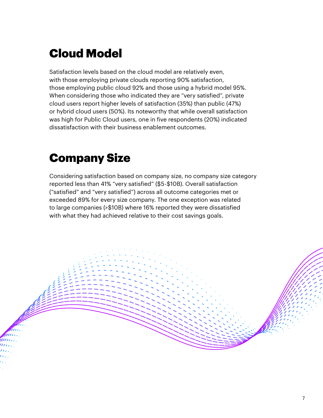### Cloud Model

Satisfaction levels based on the cloud model are relatively even, with those employing private clouds reporting 90% satisfaction, those employing public cloud 92% and those using a hybrid model 95%. When considering those who indicated they are "very satisfied", private cloud users report higher levels of satisfaction (35%) than public (47%) or hybrid cloud users (50%). Its noteworthy that while overall satisfaction was high for Public Cloud users, one in five respondents (20%) indicated dissatisfaction with their business enablement outcomes.

### Company Size

Considering satisfaction based on company size, no company size category reported less than 41% "very satisfied" (\$5-\$10B). Overall satisfaction ("satisfied" and "very satisfied") across all outcome categories met or exceeded 89% for every size company. The one exception was related to large companies (>\$10B) where 16% reported they were dissatisfied with what they had achieved relative to their cost savings goals.

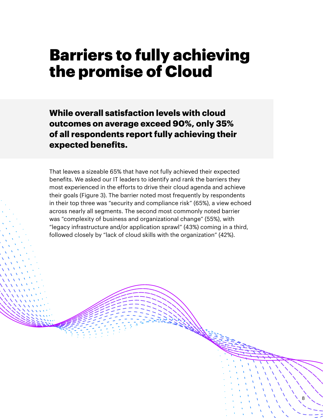## Barriers to fully achieving the promise of Cloud

**While overall satisfaction levels with cloud outcomes on average exceed 90%, only 35% of all respondents report fully achieving their expected benefits.**

That leaves a sizeable 65% that have not fully achieved their expected benefits. We asked our IT leaders to identify and rank the barriers they most experienced in the efforts to drive their cloud agenda and achieve their goals (Figure 3). The barrier noted most frequently by respondents in their top three was "security and compliance risk" (65%), a view echoed across nearly all segments. The second most commonly noted barrier was "complexity of business and organizational change" (55%), with "legacy infrastructure and/or application sprawl" (43%) coming in a third, followed closely by "lack of cloud skills with the organization" (42%).

8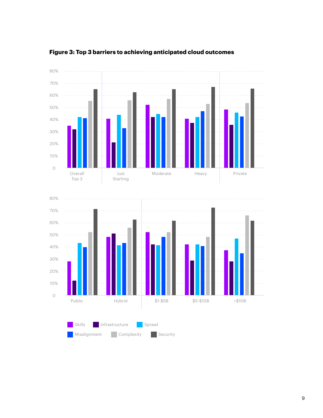

#### **Figure 3: Top 3 barriers to achieving anticipated cloud outcomes**

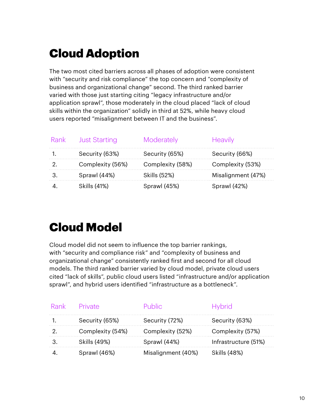### Cloud Adoption

The two most cited barriers across all phases of adoption were consistent with "security and risk compliance" the top concern and "complexity of business and organizational change" second. The third ranked barrier varied with those just starting citing "legacy infrastructure and/or application sprawl", those moderately in the cloud placed "lack of cloud skills within the organization" solidly in third at 52%, while heavy cloud users reported "misalignment between IT and the business".

| Rank | <b>Just Starting</b> | Moderately       | <b>Heavily</b>     |
|------|----------------------|------------------|--------------------|
|      | Security (63%)       | Security (65%)   | Security (66%)     |
| 2.   | Complexity (56%)     | Complexity (58%) | Complexity (53%)   |
|      | Sprawl (44%)         | Skills (52%)     | Misalignment (47%) |
|      | Skills (41%)         | Sprawl (45%)     | Sprawl (42%)       |

### Cloud Model

Cloud model did not seem to influence the top barrier rankings, with "security and compliance risk" and "complexity of business and organizational change" consistently ranked first and second for all cloud models. The third ranked barrier varied by cloud model, private cloud users cited "lack of skills", public cloud users listed "infrastructure and/or application sprawl", and hybrid users identified "infrastructure as a bottleneck".

|    | Rank Private     | Public             | <b>Hybrid</b>        |
|----|------------------|--------------------|----------------------|
|    | Security (65%)   | Security (72%)     | Security (63%)       |
| 2. | Complexity (54%) | Complexity (52%)   | Complexity (57%)     |
|    | Skills (49%)     | Sprawl (44%)       | Infrastructure (51%) |
|    | Sprawl (46%)     | Misalignment (40%) | Skills (48%)         |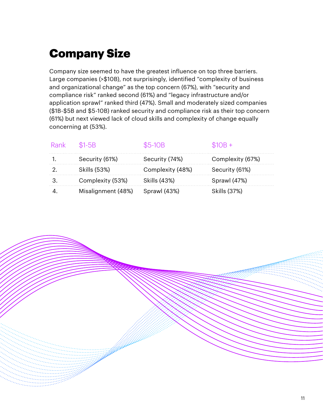### Company Size

Company size seemed to have the greatest influence on top three barriers. Large companies (>\$10B), not surprisingly, identified "complexity of business and organizational change" as the top concern (67%), with "security and compliance risk" ranked second (61%) and "legacy infrastructure and/or application sprawl" ranked third (47%). Small and moderately sized companies (\$1B-\$5B and \$5-10B) ranked security and compliance risk as their top concern (61%) but next viewed lack of cloud skills and complexity of change equally concerning at (53%).

| Rank \$1-5B |                    | \$5-10B          | $$10B +$         |
|-------------|--------------------|------------------|------------------|
|             | Security (61%)     | Security (74%)   | Complexity (67%) |
|             | Skills (53%)       | Complexity (48%) | Security (61%)   |
|             | Complexity (53%)   | Skills (43%)     | Sprawl (47%)     |
|             | Misalignment (48%) | Sprawl (43%)     | Skills (37%)     |

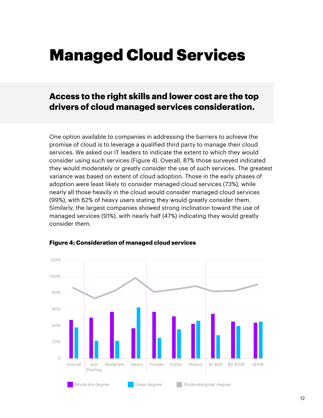## Managed Cloud Services

#### **Access to the right skills and lower cost are the top drivers of cloud managed services consideration.**

One option available to companies in addressing the barriers to achieve the promise of cloud is to leverage a qualified third party to manage their cloud services. We asked our IT leaders to indicate the extent to which they would consider using such services (Figure 4). Overall, 87% those surveyed indicated they would moderately or greatly consider the use of such services. The greatest variance was based on extent of cloud adoption. Those in the early phases of adoption were least likely to consider managed cloud services (73%), while nearly all those heavily in the cloud would consider managed cloud services (99%), with 62% of heavy users stating they would greatly consider them. Similarly, the largest companies showed strong inclination toward the use of managed services (91%), with nearly half (47%) indicating they would greatly consider them.



#### **Figure 4: Consideration of managed cloud services**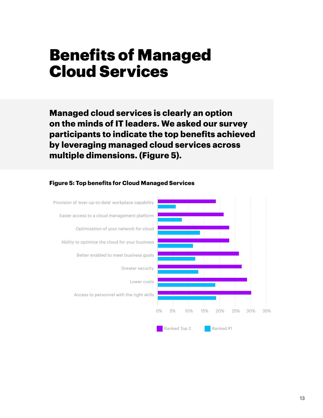## Benefits of Managed Cloud Services

**Managed cloud services is clearly an option on the minds of IT leaders. We asked our survey participants to indicate the top benefits achieved by leveraging managed cloud services across multiple dimensions. (Figure 5).** 



#### **Figure 5: Top benefits for Cloud Managed Services**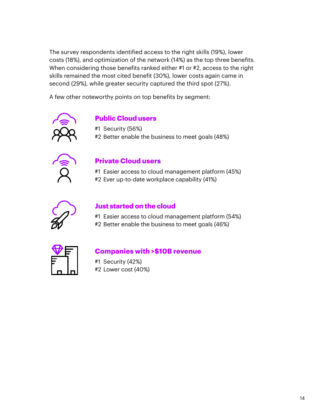The survey respondents identified access to the right skills (19%), lower costs (18%), and optimization of the network (14%) as the top three benefits. When considering those benefits ranked either #1 or #2, access to the right skills remained the most cited benefit (30%), lower costs again came in second (29%), while greater security captured the third spot (27%).

A few other noteworthy points on top benefits by segment:



#### **Public Cloud users**

#1 Security (56%)

#2 Better enable the business to meet goals (48%)



#### **Private Cloud users**

#1 Easier access to cloud management platform (45%) #2 Ever up-to-date workplace capability (41%)



#### **Just started on the cloud**

#1 Easier access to cloud management platform (54%) #2 Better enable the business to meet goals (46%)



#### **Companies with >\$10B revenue**

#1 Security (42%) #2 Lower cost (40%)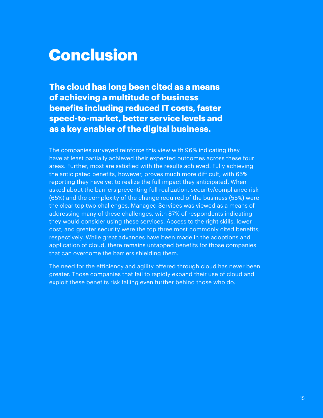### Conclusion

**The cloud has long been cited as a means of achieving a multitude of business benefits including reduced IT costs, faster speed-to-market, better service levels and as a key enabler of the digital business.**

The companies surveyed reinforce this view with 96% indicating they have at least partially achieved their expected outcomes across these four areas. Further, most are satisfied with the results achieved. Fully achieving the anticipated benefits, however, proves much more difficult, with 65% reporting they have yet to realize the full impact they anticipated. When asked about the barriers preventing full realization, security/compliance risk (65%) and the complexity of the change required of the business (55%) were the clear top two challenges. Managed Services was viewed as a means of addressing many of these challenges, with 87% of respondents indicating they would consider using these services. Access to the right skills, lower cost, and greater security were the top three most commonly cited benefits, respectively. While great advances have been made in the adoptions and application of cloud, there remains untapped benefits for those companies that can overcome the barriers shielding them.

The need for the efficiency and agility offered through cloud has never been greater. Those companies that fail to rapidly expand their use of cloud and exploit these benefits risk falling even further behind those who do.